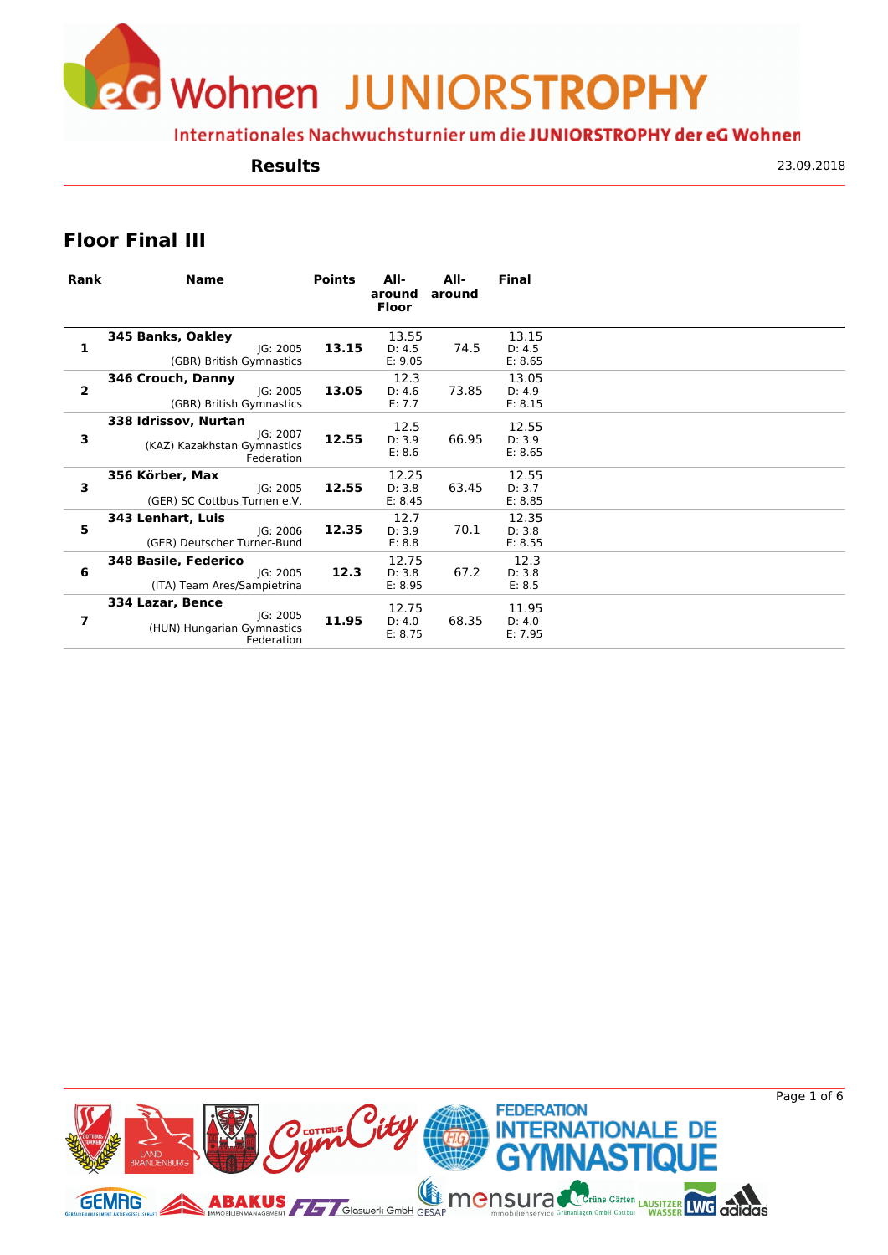eG Wohnen JUNIORSTROPHY

Internationales Nachwuchsturnier um die JUNIORSTROPHY der eG Wohnen

#### **Results**

23.09.2018

### **Floor Final III**

| Rank                    | <b>Name</b>                                                                   | <b>Points</b> | All-<br>around<br><b>Floor</b> | All-<br>around | <b>Final</b>               |  |
|-------------------------|-------------------------------------------------------------------------------|---------------|--------------------------------|----------------|----------------------------|--|
| 1                       | 345 Banks, Oakley<br>IG: 2005<br>(GBR) British Gymnastics                     | 13.15         | 13.55<br>D: 4.5<br>E: 9.05     | 74.5           | 13.15<br>D: 4.5<br>E: 8.65 |  |
| $\overline{\mathbf{2}}$ | 346 Crouch, Danny<br>IG: 2005<br>(GBR) British Gymnastics                     | 13.05         | 12.3<br>D: 4.6<br>E: 7.7       | 73.85          | 13.05<br>D: 4.9<br>E: 8.15 |  |
| 3                       | 338 Idrissov, Nurtan<br>JG: 2007<br>(KAZ) Kazakhstan Gymnastics<br>Federation | 12.55         | 12.5<br>D: 3.9<br>E: 8.6       | 66.95          | 12.55<br>D: 3.9<br>E: 8.65 |  |
| 3                       | 356 Körber, Max<br>JG: 2005<br>(GER) SC Cottbus Turnen e.V.                   | 12.55         | 12.25<br>D: 3.8<br>E: 8.45     | 63.45          | 12.55<br>D: 3.7<br>E: 8.85 |  |
| 5                       | 343 Lenhart, Luis<br>IG: 2006<br>(GER) Deutscher Turner-Bund                  | 12.35         | 12.7<br>D: 3.9<br>E: 8.8       | 70.1           | 12.35<br>D: 3.8<br>E: 8.55 |  |
| 6                       | 348 Basile, Federico<br>JG: 2005<br>(ITA) Team Ares/Sampietrina               | 12.3          | 12.75<br>D: 3.8<br>E: 8.95     | 67.2           | 12.3<br>D: 3.8<br>E: 8.5   |  |
| 7                       | 334 Lazar, Bence<br>JG: 2005<br>(HUN) Hungarian Gymnastics<br>Federation      | 11.95         | 12.75<br>D: 4.0<br>E: 8.75     | 68.35          | 11.95<br>D: 4.0<br>E: 7.95 |  |



Page 1 of 6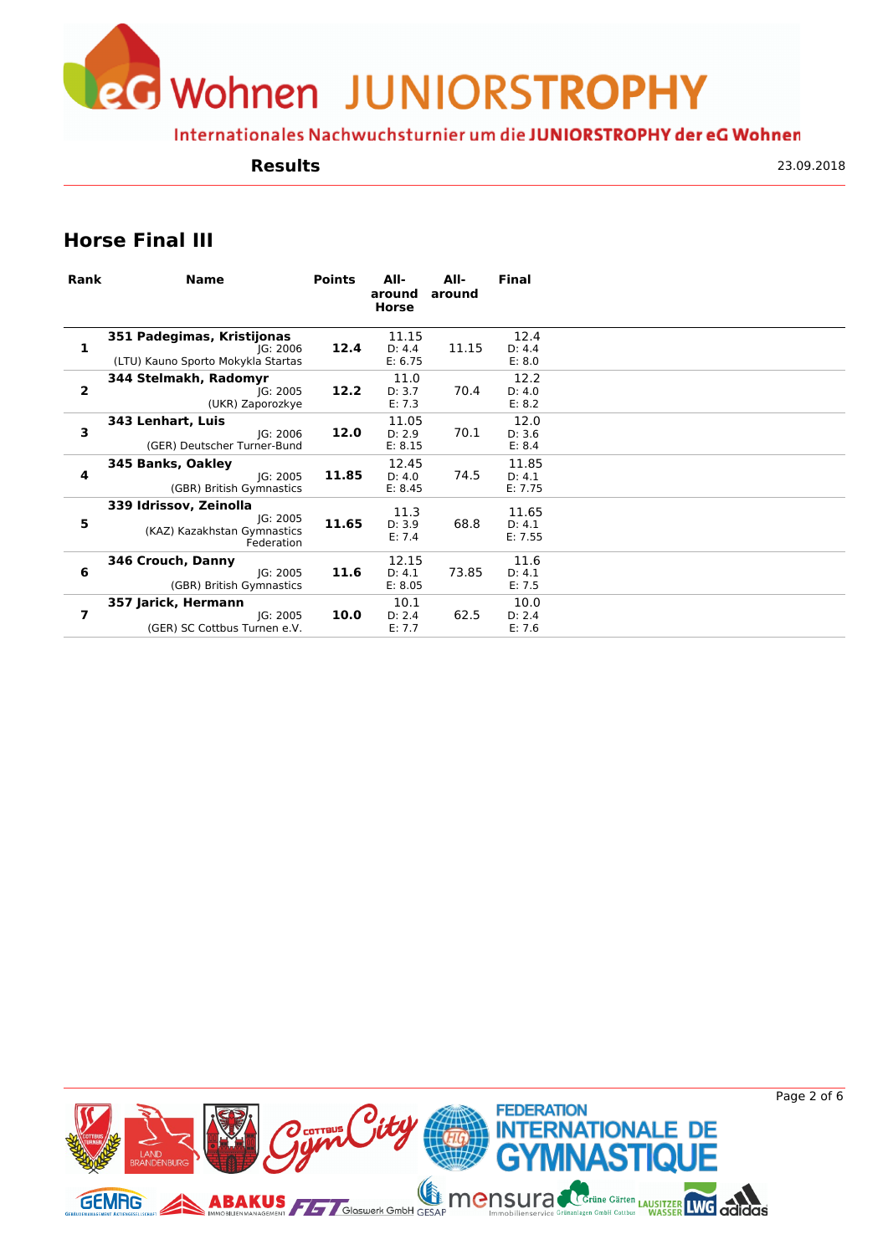**J** Wohnen JUNIORSTROPHY

Internationales Nachwuchsturnier um die JUNIORSTROPHY der eG Wohnen

#### **Results**

23.09.2018

# **Horse Final III**

| Rank           | <b>Name</b>                                                                     | <b>Points</b> | All-<br>around<br>Horse    | All-<br>around | <b>Final</b>               |  |
|----------------|---------------------------------------------------------------------------------|---------------|----------------------------|----------------|----------------------------|--|
| 1              | 351 Padegimas, Kristijonas<br>IG: 2006<br>(LTU) Kauno Sporto Mokykla Startas    | 12.4          | 11.15<br>D: 4.4<br>E: 6.75 | 11.15          | 12.4<br>D: 4.4<br>E: 8.0   |  |
| $\overline{2}$ | 344 Stelmakh, Radomyr<br>IG: 2005<br>(UKR) Zaporozkye                           | 12.2          | 11.0<br>D: 3.7<br>E: 7.3   | 70.4           | 12.2<br>D: 4.0<br>E: 8.2   |  |
| 3              | 343 Lenhart, Luis<br>JG: 2006<br>(GER) Deutscher Turner-Bund                    | 12.0          | 11.05<br>D: 2.9<br>E: 8.15 | 70.1           | 12.0<br>D: 3.6<br>E: 8.4   |  |
| 4              | 345 Banks, Oakley<br>IG: 2005<br>(GBR) British Gymnastics                       | 11.85         | 12.45<br>D: 4.0<br>E: 8.45 | 74.5           | 11.85<br>D: 4.1<br>E: 7.75 |  |
| 5              | 339 Idrissov, Zeinolla<br>JG: 2005<br>(KAZ) Kazakhstan Gymnastics<br>Federation | 11.65         | 11.3<br>D: 3.9<br>E: 7.4   | 68.8           | 11.65<br>D: 4.1<br>E: 7.55 |  |
| 6              | 346 Crouch, Danny<br>IG: 2005<br>(GBR) British Gymnastics                       | 11.6          | 12.15<br>D: 4.1<br>E: 8.05 | 73.85          | 11.6<br>D: 4.1<br>E: 7.5   |  |
| 7              | 357 Jarick, Hermann<br>IG: 2005<br>(GER) SC Cottbus Turnen e.V.                 | 10.0          | 10.1<br>D: 2.4<br>E: 7.7   | 62.5           | 10.0<br>D: 2.4<br>E: 7.6   |  |

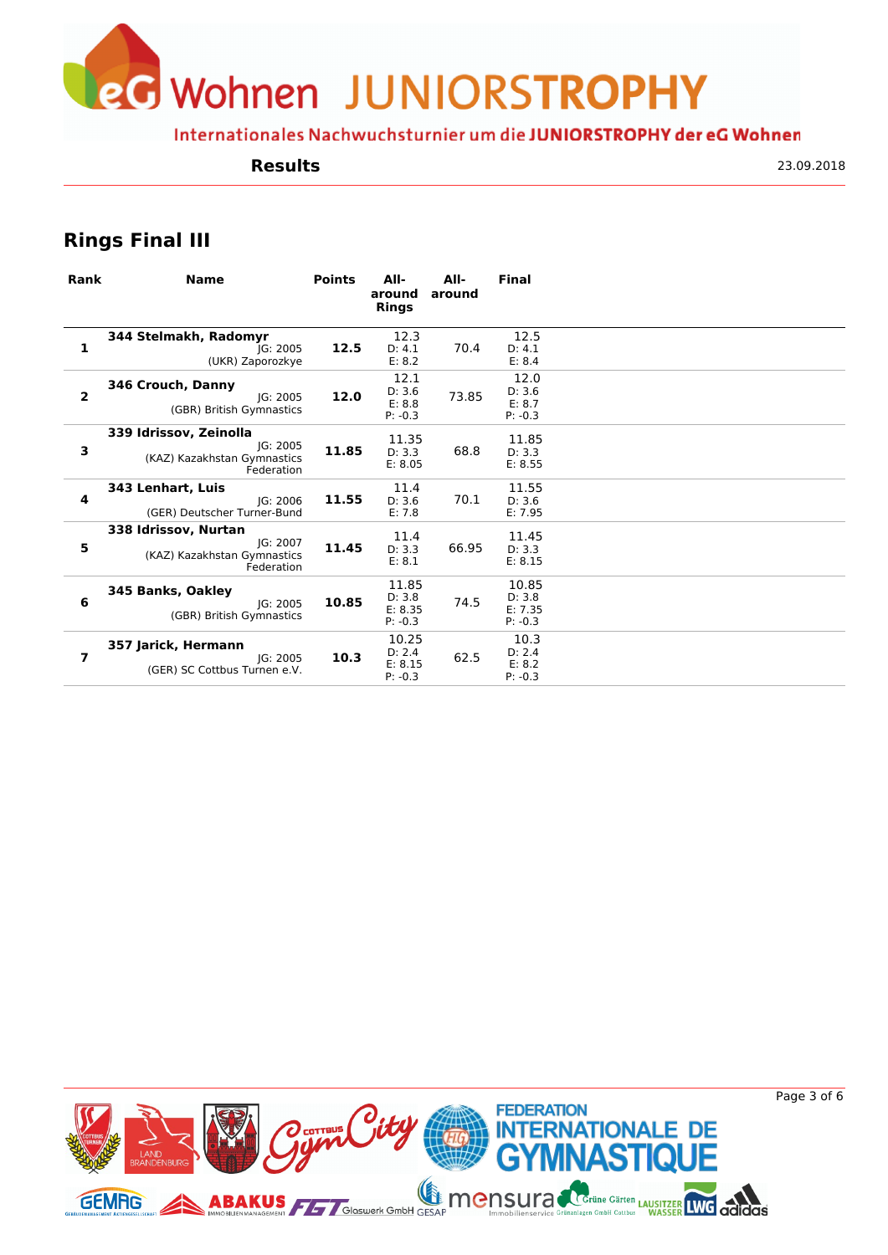Wohnen JUNIORSTROPHY

Internationales Nachwuchsturnier um die JUNIORSTROPHY der eG Wohnen

#### **Results**

23.09.2018

# **Rings Final III**

| Rank                    | <b>Name</b>                                                                     | <b>Points</b> | All-<br>around<br><b>Rings</b>          | All-<br>around | <b>Final</b>                            |  |
|-------------------------|---------------------------------------------------------------------------------|---------------|-----------------------------------------|----------------|-----------------------------------------|--|
| 1                       | 344 Stelmakh, Radomyr<br>IG: 2005<br>(UKR) Zaporozkye                           | 12.5          | 12.3<br>D: 4.1<br>E: 8.2                | 70.4           | 12.5<br>D: 4.1<br>E: 8.4                |  |
| $\overline{\mathbf{2}}$ | 346 Crouch, Danny<br>IG: 2005<br>(GBR) British Gymnastics                       | 12.0          | 12.1<br>D: 3.6<br>E: 8.8<br>$P: -0.3$   | 73.85          | 12.0<br>D: 3.6<br>E: 8.7<br>$P: -0.3$   |  |
| 3                       | 339 Idrissov, Zeinolla<br>IG: 2005<br>(KAZ) Kazakhstan Gymnastics<br>Federation | 11.85         | 11.35<br>D: 3.3<br>E: 8.05              | 68.8           | 11.85<br>D: 3.3<br>E: 8.55              |  |
| 4                       | 343 Lenhart, Luis<br>IG: 2006<br>(GER) Deutscher Turner-Bund                    | 11.55         | 11.4<br>D: 3.6<br>E: 7.8                | 70.1           | 11.55<br>D: 3.6<br>E: 7.95              |  |
| 5                       | 338 Idrissov, Nurtan<br>IG: 2007<br>(KAZ) Kazakhstan Gymnastics<br>Federation   | 11.45         | 11.4<br>D: 3.3<br>E: 8.1                | 66.95          | 11.45<br>D: 3.3<br>E: 8.15              |  |
| 6                       | 345 Banks, Oakley<br>IG: 2005<br>(GBR) British Gymnastics                       | 10.85         | 11.85<br>D: 3.8<br>E: 8.35<br>$P: -0.3$ | 74.5           | 10.85<br>D: 3.8<br>E: 7.35<br>$P: -0.3$ |  |
| 7                       | 357 Jarick, Hermann<br>IG: 2005<br>(GER) SC Cottbus Turnen e.V.                 | 10.3          | 10.25<br>D: 2.4<br>E: 8.15<br>$P: -0.3$ | 62.5           | 10.3<br>D: 2.4<br>E: 8.2<br>$P: -0.3$   |  |

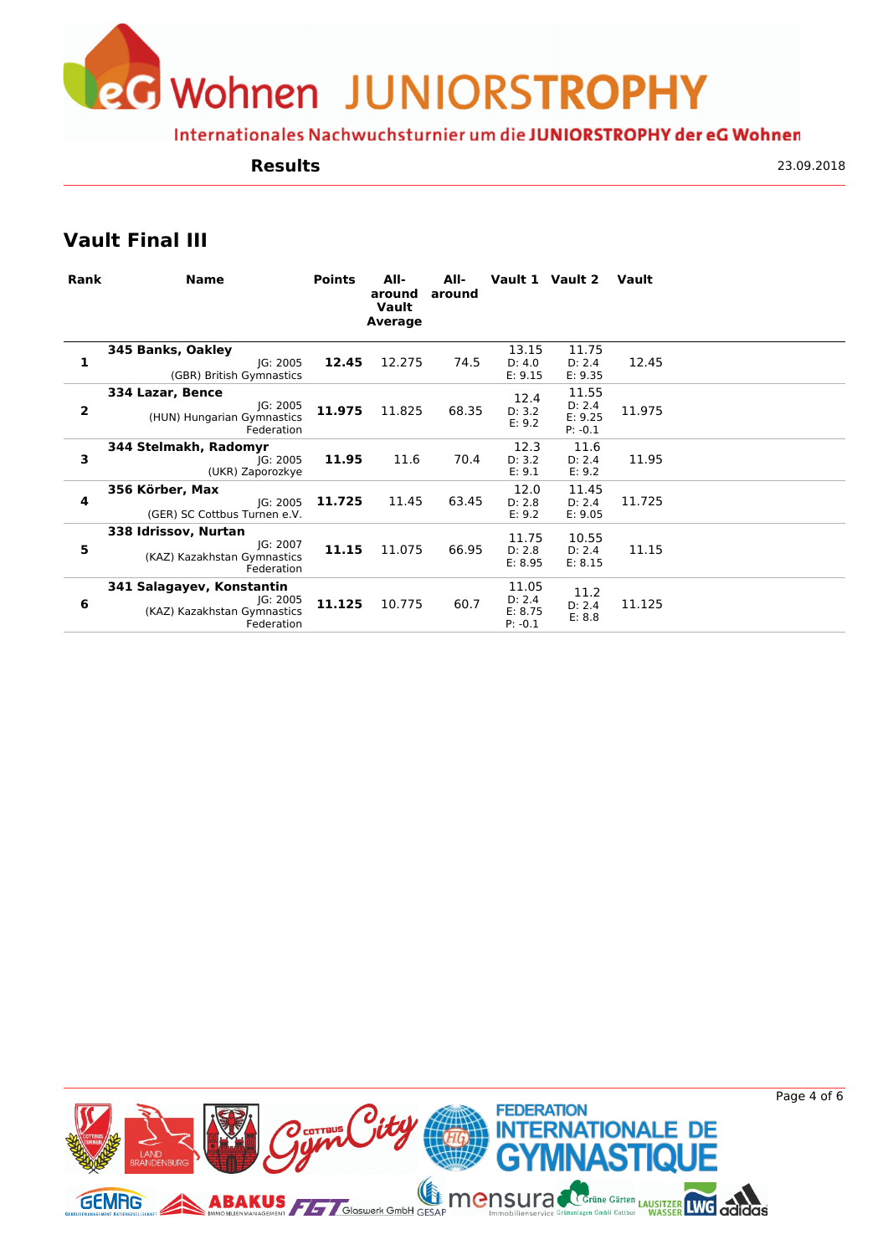eG Wohnen JUNIORSTROPHY

Internationales Nachwuchsturnier um die JUNIORSTROPHY der eG Wohnen

#### **Results**

23.09.2018

# **Vault Final III**

| Rank | <b>Name</b>                                                                        | <b>Points</b> | All-<br>around<br>Vault<br>Average | All-<br>around |                                         | Vault 1 Vault 2                         | Vault  |  |
|------|------------------------------------------------------------------------------------|---------------|------------------------------------|----------------|-----------------------------------------|-----------------------------------------|--------|--|
| 1    | 345 Banks, Oakley<br>IG: 2005<br>(GBR) British Gymnastics                          | 12.45         | 12.275                             | 74.5           | 13.15<br>D: 4.0<br>E: 9.15              | 11.75<br>D: 2.4<br>E: 9.35              | 12.45  |  |
| 2    | 334 Lazar, Bence<br>IG: 2005<br>(HUN) Hungarian Gymnastics<br>Federation           | 11.975        | 11.825                             | 68.35          | 12.4<br>D: 3.2<br>E: 9.2                | 11.55<br>D: 2.4<br>E: 9.25<br>$P: -0.1$ | 11.975 |  |
| 3    | 344 Stelmakh, Radomyr<br>IG: 2005<br>(UKR) Zaporozkye                              | 11.95         | 11.6                               | 70.4           | 12.3<br>D: 3.2<br>E: 9.1                | 11.6<br>D: 2.4<br>E: 9.2                | 11.95  |  |
| 4    | 356 Körber, Max<br>IG: 2005<br>(GER) SC Cottbus Turnen e.V.                        | 11.725        | 11.45                              | 63.45          | 12.0<br>D: 2.8<br>E: 9.2                | 11.45<br>D: 2.4<br>E: 9.05              | 11.725 |  |
| 5    | 338 Idrissov, Nurtan<br>IG: 2007<br>(KAZ) Kazakhstan Gymnastics<br>Federation      | 11.15         | 11.075                             | 66.95          | 11.75<br>D: 2.8<br>E: 8.95              | 10.55<br>D: 2.4<br>E: 8.15              | 11.15  |  |
| 6    | 341 Salagayev, Konstantin<br>JG: 2005<br>(KAZ) Kazakhstan Gymnastics<br>Federation | 11.125        | 10.775                             | 60.7           | 11.05<br>D: 2.4<br>E: 8.75<br>$P: -0.1$ | 11.2<br>D: 2.4<br>E: 8.8                | 11.125 |  |
|      |                                                                                    |               |                                    |                |                                         |                                         |        |  |

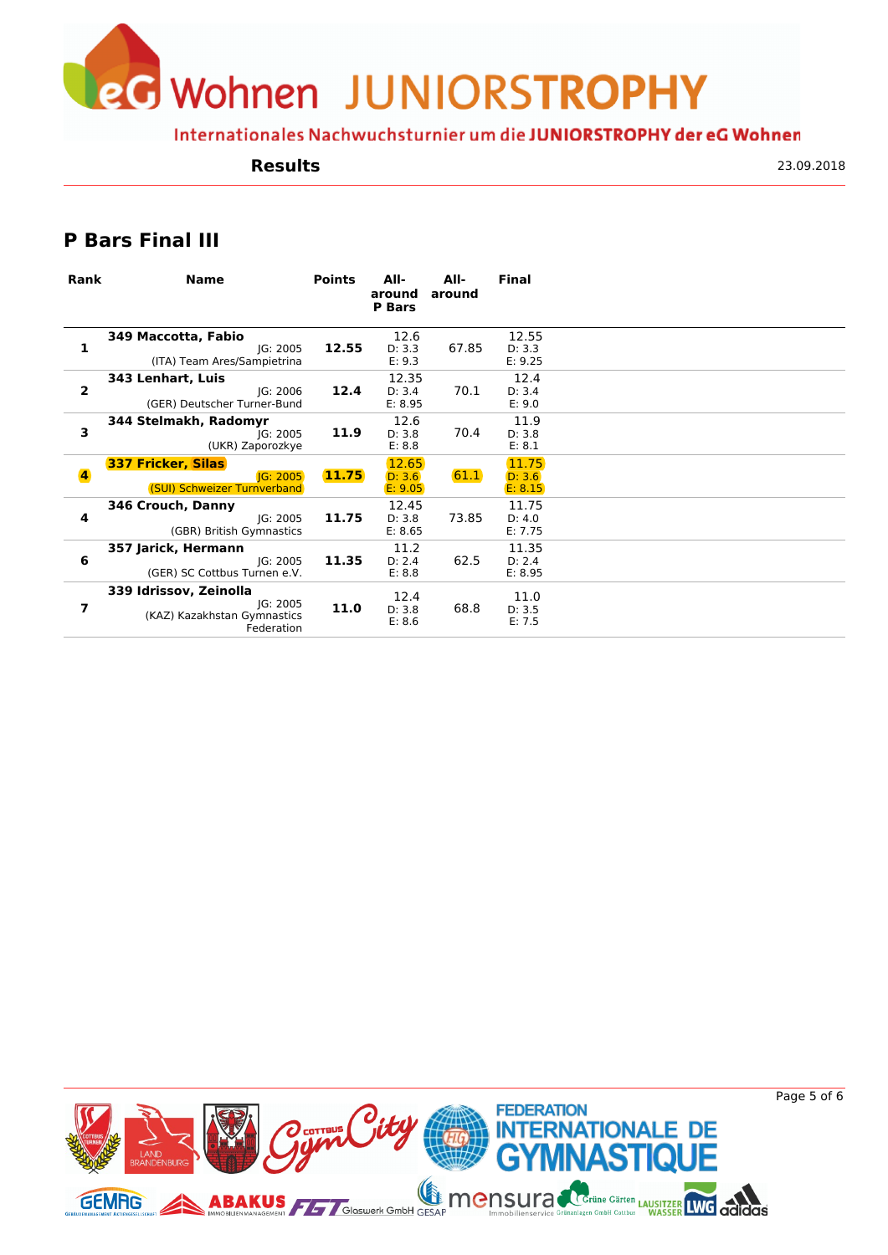**J** Wohnen JUNIORSTROPHY

Internationales Nachwuchsturnier um die JUNIORSTROPHY der eG Wohnen

#### **Results**

23.09.2018

### **P Bars Final III**

| Rank                    | <b>Name</b>                                                                     | <b>Points</b> | All-<br>around<br><b>P</b> Bars | All-<br>around | <b>Final</b>               |  |
|-------------------------|---------------------------------------------------------------------------------|---------------|---------------------------------|----------------|----------------------------|--|
| 1                       | 349 Maccotta, Fabio<br>JG: 2005<br>(ITA) Team Ares/Sampietrina                  | 12.55         | 12.6<br>D: 3.3<br>E: 9.3        | 67.85          | 12.55<br>D: 3.3<br>E: 9.25 |  |
| $\overline{\mathbf{2}}$ | 343 Lenhart, Luis<br>IG: 2006<br>(GER) Deutscher Turner-Bund                    | 12.4          | 12.35<br>D: 3.4<br>E: 8.95      | 70.1           | 12.4<br>D: 3.4<br>E: 9.0   |  |
| 3                       | 344 Stelmakh, Radomyr<br>IG: 2005<br>(UKR) Zaporozkye                           | 11.9          | 12.6<br>D: 3.8<br>E: 8.8        | 70.4           | 11.9<br>D: 3.8<br>E: 8.1   |  |
| $\overline{\mathbf{4}}$ | <b>337 Fricker, Silas</b><br>IG: 2005<br>(SUI) Schweizer Turnverband            | 11.75         | 12.65<br>D: 3.6<br>E: 9.05      | 61.1           | 11.75<br>D: 3.6<br>E: 8.15 |  |
| 4                       | 346 Crouch, Danny<br>IG: 2005<br>(GBR) British Gymnastics                       | 11.75         | 12.45<br>D: 3.8<br>E: 8.65      | 73.85          | 11.75<br>D: 4.0<br>E: 7.75 |  |
| 6                       | 357 Jarick, Hermann<br>IG: 2005<br>(GER) SC Cottbus Turnen e.V.                 | 11.35         | 11.2<br>D: 2.4<br>E: 8.8        | 62.5           | 11.35<br>D: 2.4<br>E: 8.95 |  |
| 7                       | 339 Idrissov, Zeinolla<br>JG: 2005<br>(KAZ) Kazakhstan Gymnastics<br>Federation | 11.0          | 12.4<br>D: 3.8<br>E: 8.6        | 68.8           | 11.0<br>D: 3.5<br>E: 7.5   |  |



Page 5 of 6